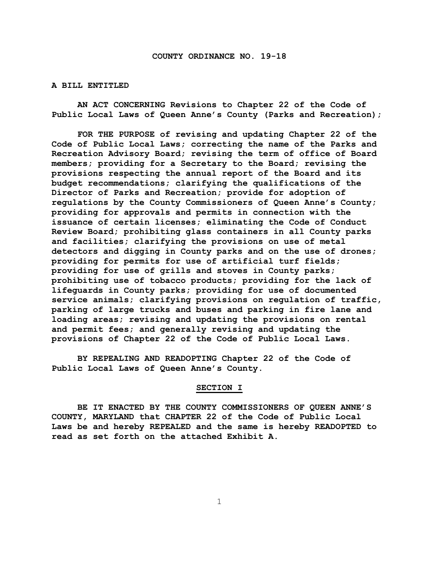#### **A BILL ENTITLED**

**AN ACT CONCERNING Revisions to Chapter 22 of the Code of Public Local Laws of Queen Anne's County (Parks and Recreation);**

**FOR THE PURPOSE of revising and updating Chapter 22 of the Code of Public Local Laws; correcting the name of the Parks and Recreation Advisory Board; revising the term of office of Board members; providing for a Secretary to the Board; revising the provisions respecting the annual report of the Board and its budget recommendations; clarifying the qualifications of the Director of Parks and Recreation; provide for adoption of regulations by the County Commissioners of Queen Anne's County; providing for approvals and permits in connection with the issuance of certain licenses; eliminating the Code of Conduct Review Board; prohibiting glass containers in all County parks and facilities; clarifying the provisions on use of metal detectors and digging in County parks and on the use of drones; providing for permits for use of artificial turf fields; providing for use of grills and stoves in County parks; prohibiting use of tobacco products; providing for the lack of lifeguards in County parks; providing for use of documented service animals; clarifying provisions on regulation of traffic, parking of large trucks and buses and parking in fire lane and loading areas; revising and updating the provisions on rental and permit fees; and generally revising and updating the provisions of Chapter 22 of the Code of Public Local Laws.**

**BY REPEALING AND READOPTING Chapter 22 of the Code of Public Local Laws of Queen Anne's County.**

#### **SECTION I**

**BE IT ENACTED BY THE COUNTY COMMISSIONERS OF QUEEN ANNE'S COUNTY, MARYLAND that CHAPTER 22 of the Code of Public Local Laws be and hereby REPEALED and the same is hereby READOPTED to read as set forth on the attached Exhibit A.**

1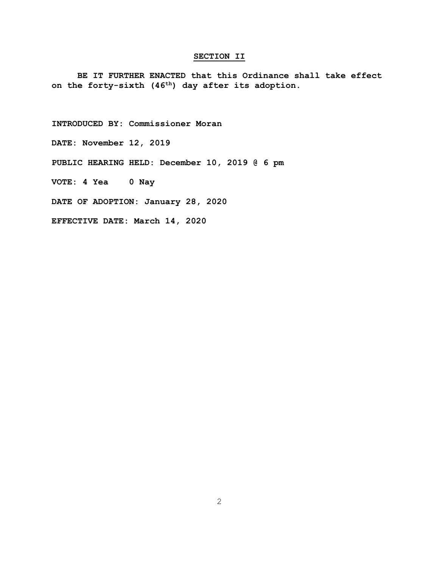#### **SECTION II**

**BE IT FURTHER ENACTED that this Ordinance shall take effect on the forty-sixth (46th) day after its adoption.**

**INTRODUCED BY: Commissioner Moran**

**DATE: November 12, 2019**

**PUBLIC HEARING HELD: December 10, 2019 @ 6 pm**

**VOTE: 4 Yea 0 Nay**

**DATE OF ADOPTION: January 28, 2020**

**EFFECTIVE DATE: March 14, 2020**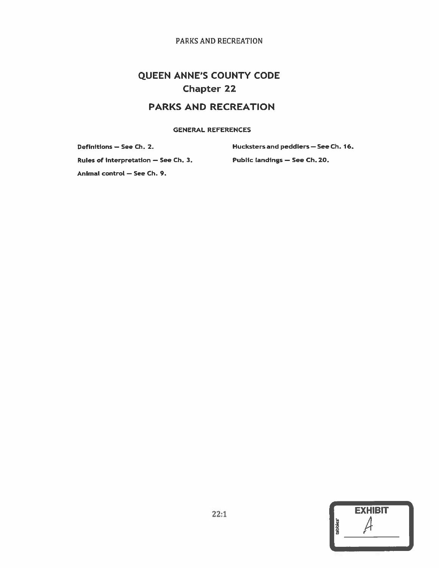# **QUEEN ANNE'S COUNTY CODE Chapter 22**

# **PARKS AND RECREATION**

**GENERAL REFERENCES** 

Definitions - See Ch. 2. Rules of interpretation - See Ch. 3. Hucksters and peddlers - See Ch. 16. Public landings - See Ch. 20.

Animal control - See Ch. 9.

| <b>EXHIBIT</b> |  |
|----------------|--|
|                |  |
|                |  |
|                |  |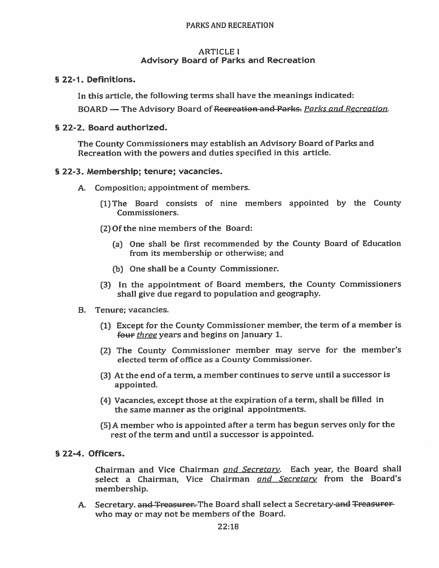#### **ARTICLE I Advisory Board of Parks and Recreation**

§ 22-1. Definitions.

In this article, the following terms shall have the meanings indicated:

BOARD - The Advisory Board of Recreation and Parks. Parks and Recreation.

### § 22-2. Board authorized.

The County Commissioners may establish an Advisory Board of Parks and Recreation with the powers and duties specified in this article.

### § 22-3. Membership; tenure; vacancies.

- A. Composition; appointment of members.
	- (1) The Board consists of nine members appointed by the County Commissioners.
	- (2) Of the nine members of the Board:
		- (a) One shall be first recommended by the County Board of Education from its membership or otherwise; and
		- (b) One shall be a County Commissioner.
	- (3) In the appointment of Board members, the County Commissioners shall give due regard to population and geography.
- B. Tenure: vacancies.
	- (1) Except for the County Commissioner member, the term of a member is four three years and begins on January 1.
	- (2) The County Commissioner member may serve for the member's elected term of office as a County Commissioner.
	- (3) At the end of a term, a member continues to serve until a successor is appointed.
	- (4) Vacancies, except those at the expiration of a term, shall be filled in the same manner as the original appointments.
	- (5) A member who is appointed after a term has begun serves only for the rest of the term and until a successor is appointed.
- § 22-4. Officers.

Chairman and Vice Chairman and Secretary. Each year, the Board shall select a Chairman, Vice Chairman and Secretary from the Board's membership.

A. Secretary. and Treasurer. The Board shall select a Secretary-and Treasurerwho may or may not be members of the Board.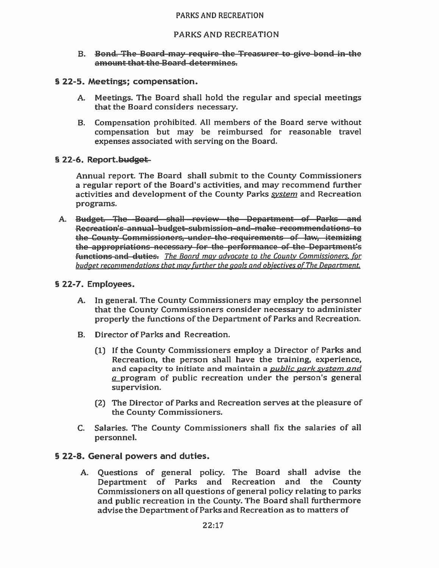#### **PARKS AND RECREATION**

#### B. Bond. The Board-may require the Treasurer to give bond in-the amount that the Board determines.

#### § 22-5. Meetings; compensation.

- Meetings. The Board shall hold the regular and special meetings  $A_{1}$ that the Board considers necessary.
- B. Compensation prohibited. All members of the Board serve without compensation but may be reimbursed for reasonable travel expenses associated with serving on the Board.

### § 22-6. Report.budget

Annual report. The Board shall submit to the County Commissioners a regular report of the Board's activities, and may recommend further activities and development of the County Parks system and Recreation programs.

A. Budget. The Board shall review the Department of Parks and Recreation's annual-budget-submission-and-make recommendations to the County Commissioners, under the requirements of law, itemizing the appropriations necessary for the performance of the Department's functions and duties. The Board may advocate to the County Commissioners, for budget recommendations that may further the goals and objectives of The Department.

### § 22-7. Employees.

- A. In general. The County Commissioners may employ the personnel that the County Commissioners consider necessary to administer properly the functions of the Department of Parks and Recreation.
- Director of Parks and Recreation.  $\mathbf{R}$ 
	- (1) If the County Commissioners employ a Director of Parks and Recreation, the person shall have the training, experience, and capacity to initiate and maintain a *public park system and*  $q$  program of public recreation under the person's general supervision.
	- (2) The Director of Parks and Recreation serves at the pleasure of the County Commissioners.
- C. Salaries. The County Commissioners shall fix the salaries of all personnel.

# § 22-8. General powers and duties.

A. Questions of general policy. The Board shall advise the Department of Parks and Recreation and the County Commissioners on all questions of general policy relating to parks and public recreation in the County. The Board shall furthermore advise the Department of Parks and Recreation as to matters of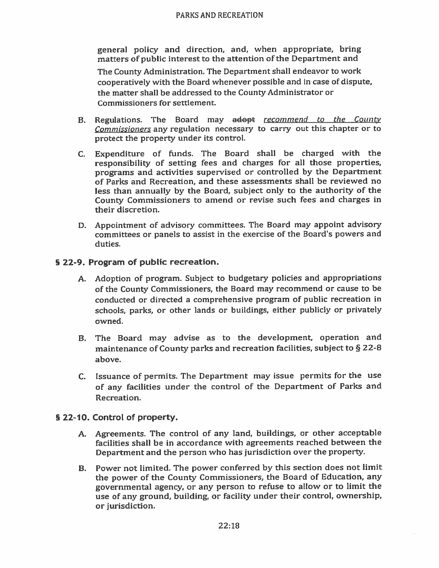general policy and direction, and, when appropriate, bring matters of public interest to the attention of the Department and

The County Administration. The Department shall endeavor to work cooperatively with the Board whenever possible and in case of dispute, the matter shall be addressed to the County Administrator or Commissioners for settlement.

- Regulations. The Board may adopt recommend to the County **B.** Commissioners any regulation necessary to carry out this chapter or to protect the property under its control.
- C. Expenditure of funds. The Board shall be charged with the responsibility of setting fees and charges for all those properties. programs and activities supervised or controlled by the Department of Parks and Recreation, and these assessments shall be reviewed no less than annually by the Board, subject only to the authority of the County Commissioners to amend or revise such fees and charges in their discretion.
- D. Appointment of advisory committees. The Board may appoint advisory committees or panels to assist in the exercise of the Board's powers and duties.

### § 22-9. Program of public recreation.

- A. Adoption of program. Subject to budgetary policies and appropriations of the County Commissioners, the Board may recommend or cause to be conducted or directed a comprehensive program of public recreation in schools, parks, or other lands or buildings, either publicly or privately owned.
- B. The Board may advise as to the development, operation and maintenance of County parks and recreation facilities, subject to § 22-8 above.
- C. Issuance of permits. The Department may issue permits for the use of any facilities under the control of the Department of Parks and Recreation.

#### § 22-10. Control of property.

- A. Agreements. The control of any land, buildings, or other acceptable facilities shall be in accordance with agreements reached between the Department and the person who has jurisdiction over the property.
- B. Power not limited. The power conferred by this section does not limit the power of the County Commissioners, the Board of Education, any governmental agency, or any person to refuse to allow or to limit the use of any ground, building, or facility under their control, ownership, or jurisdiction.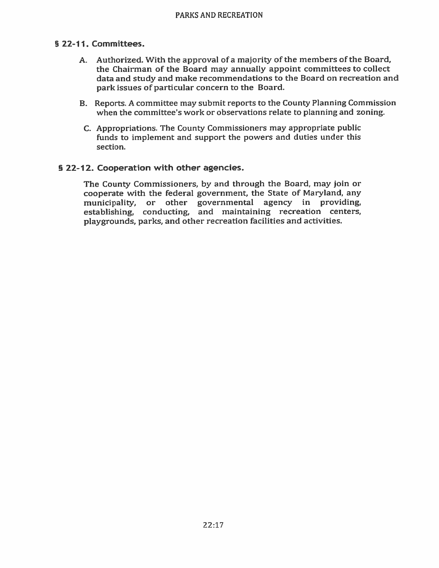# § 22-11. Committees.

- A. Authorized. With the approval of a majority of the members of the Board, the Chairman of the Board may annually appoint committees to collect data and study and make recommendations to the Board on recreation and park issues of particular concern to the Board.
- B. Reports. A committee may submit reports to the County Planning Commission when the committee's work or observations relate to planning and zoning.
- C. Appropriations. The County Commissioners may appropriate public funds to implement and support the powers and duties under this section.

# § 22-12. Cooperation with other agencies.

The County Commissioners, by and through the Board, may join or cooperate with the federal government, the State of Maryland, any municipality, or other governmental agency in providing, establishing, conducting, and maintaining recreation centers, playgrounds, parks, and other recreation facilities and activities.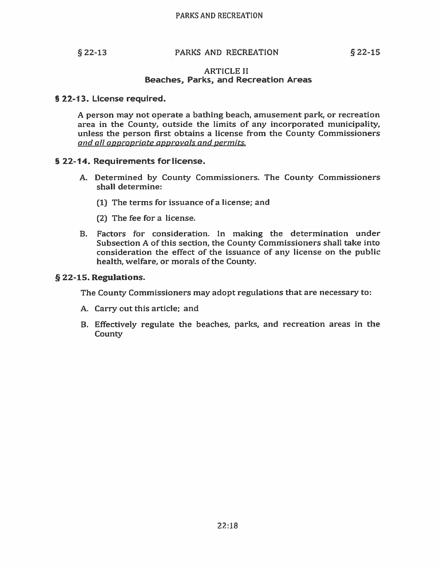$$22-13$ 

# PARKS AND RECREATION

#### **ARTICLE II Beaches, Parks, and Recreation Areas**

#### § 22-13. License required.

A person may not operate a bathing beach, amusement park, or recreation area in the County, outside the limits of any incorporated municipality, unless the person first obtains a license from the County Commissioners and all appropriate approvals and permits.

### § 22-14. Requirements for license.

- A. Determined by County Commissioners. The County Commissioners shall determine:
	- (1) The terms for issuance of a license; and
	- (2) The fee for a license.
- B. Factors for consideration. In making the determination under Subsection A of this section, the County Commissioners shall take into consideration the effect of the issuance of any license on the public health, welfare, or morals of the County.

#### § 22-15. Regulations.

The County Commissioners may adopt regulations that are necessary to:

- A. Carry out this article; and
- B. Effectively regulate the beaches, parks, and recreation areas in the **County**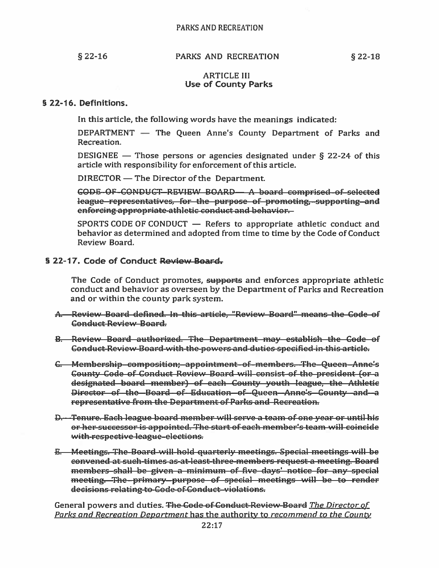$$22-16$ 

# PARKS AND RECREATION

#### **ARTICLE III Use of County Parks**

### § 22-16. Definitions.

In this article, the following words have the meanings indicated:

DEPARTMENT — The Queen Anne's County Department of Parks and Recreation.

DESIGNEE — Those persons or agencies designated under  $\S$  22-24 of this article with responsibility for enforcement of this article.

DIRECTOR — The Director of the Department.

GODE OF CONDUCT REVIEW BOARD A board comprised of selected league-representatives, for the purpose of promoting, supporting and enforcing appropriate athletic conduct and behavior.

SPORTS CODE OF CONDUCT - Refers to appropriate athletic conduct and behavior as determined and adopted from time to time by the Code of Conduct Review Board.

# § 22-17. Code of Conduct Review Board.

The Code of Conduct promotes, supports and enforces appropriate athletic conduct and behavior as overseen by the Department of Parks and Recreation and or within the county park system.

- A. Review Board defined. In this article, "Review Board" means the Code of **Gonduct Review Board.**
- **B.** Review Board authorized. The Department may establish the Code of Conduct Review Board with the powers and duties specified in this article.
- G. Membership-composition: appointment-of-members. The-Queen-Anne's **County Code of Conduct Review Board will consist of the president (or a** designated board member) of each County youth league, the Athletic Director of the Board of Education of Queen Anne's Gounty and a representative from the Department of Parks and Recreation.
- D. Tenure. Each league board member will serve a team of one year or until his or her successor is appointed. The start of each member's team will coincide with-respective league-elections.
- **E.** Meetings. The Board-will-hold quarterly meetings. Special meetings will be convened at such-times as at least-three-members request a meeting. Board members-shall be given a minimum of five days' notice for any special meeting. The primary purpose of special meetings will be to render decisions relating to Gode of Conduct violations.

General powers and duties. The Gode of Conduct-Review-Board The Director of Parks and Recreation Department has the authority to recommend to the County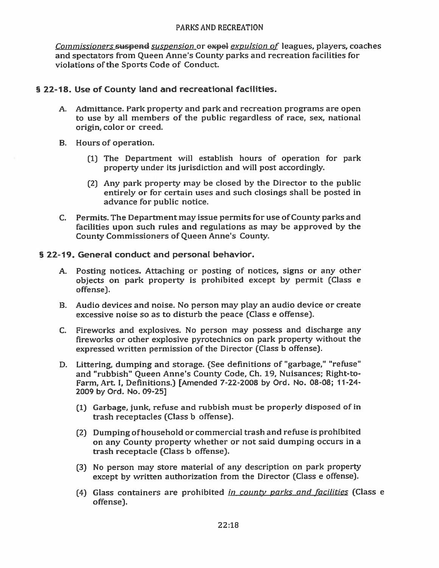Commissioners suspend suspension or expel expulsion of leagues, players, coaches and spectators from Queen Anne's County parks and recreation facilities for violations of the Sports Code of Conduct.

# § 22-18. Use of County land and recreational facilities.

- A. Admittance. Park property and park and recreation programs are open to use by all members of the public regardless of race, sex, national origin, color or creed.
- B. Hours of operation.
	- (1) The Department will establish hours of operation for park property under its jurisdiction and will post accordingly.
	- (2) Any park property may be closed by the Director to the public entirely or for certain uses and such closings shall be posted in advance for public notice.
- C. Permits. The Department may issue permits for use of County parks and facilities upon such rules and regulations as may be approved by the **County Commissioners of Queen Anne's County.**

# § 22-19. General conduct and personal behavior.

- A. Posting notices. Attaching or posting of notices, signs or any other objects on park property is prohibited except by permit (Class e offense).
- B. Audio devices and noise. No person may play an audio device or create excessive noise so as to disturb the peace (Class e offense).
- C. Fireworks and explosives. No person may possess and discharge any fireworks or other explosive pyrotechnics on park property without the expressed written permission of the Director (Class b offense).
- D. Littering, dumping and storage. (See definitions of "garbage," "refuse" and "rubbish" Queen Anne's County Code, Ch. 19, Nuisances; Right-to-Farm, Art. I, Definitions.) [Amended 7-22-2008 by Ord. No. 08-08; 11-24-2009 by Ord. No. 09-25]
	- (1) Garbage, junk, refuse and rubbish must be properly disposed of in trash receptacles (Class b offense).
	- (2) Dumping of household or commercial trash and refuse is prohibited on any County property whether or not said dumping occurs in a trash receptacle (Class b offense).
	- (3) No person may store material of any description on park property except by written authorization from the Director (Class e offense).
	- (4) Glass containers are prohibited *in county parks and facilities* (Class e offense).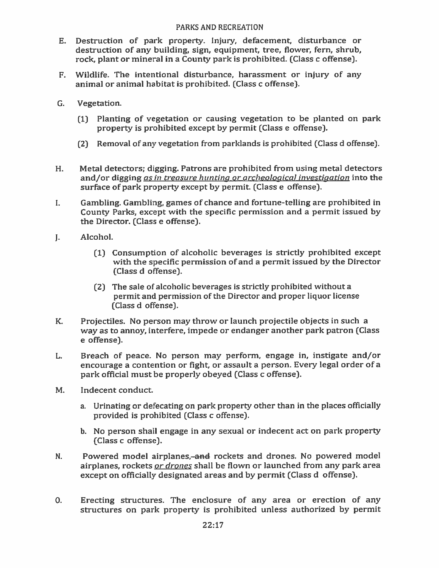- E. Destruction of park property. Injury, defacement, disturbance or destruction of any building, sign, equipment, tree, flower, fern, shrub, rock, plant or mineral in a County park is prohibited. (Class c offense).
- Wildlife. The intentional disturbance, harassment or injury of any  $F_{\star}$ animal or animal habitat is prohibited. (Class c offense).
- G. Vegetation.
	- (1) Planting of vegetation or causing vegetation to be planted on park property is prohibited except by permit (Class e offense).
	- (2) Removal of any vegetation from parklands is prohibited (Class d offense).
- Metal detectors; digging. Patrons are prohibited from using metal detectors H. and/or digging as in treasure hunting or archeological investigation into the surface of park property except by permit. (Class e offense).
- Gambling. Gambling, games of chance and fortune-telling are prohibited in I. County Parks, except with the specific permission and a permit issued by the Director. (Class e offense).
- $\mathbf{L}$ Alcohol.
	- (1) Consumption of alcoholic beverages is strictly prohibited except with the specific permission of and a permit issued by the Director (Class d offense).
	- (2) The sale of alcoholic beverages is strictly prohibited without a permit and permission of the Director and proper liquor license (Class d offense).
- K. Projectiles. No person may throw or launch projectile objects in such a way as to annoy, interfere, impede or endanger another park patron (Class e offense).
- Breach of peace. No person may perform, engage in, instigate and/or L. encourage a contention or fight, or assault a person. Every legal order of a park official must be properly obeyed (Class c offense).
- M. Indecent conduct.
	- a. Urinating or defecating on park property other than in the places officially provided is prohibited (Class c offense).
	- b. No person shall engage in any sexual or indecent act on park property (Class c offense).
- Powered model airplanes,-and rockets and drones. No powered model N. airplanes, rockets *or drones* shall be flown or launched from any park area except on officially designated areas and by permit (Class d offense).
- 0. Erecting structures. The enclosure of any area or erection of any structures on park property is prohibited unless authorized by permit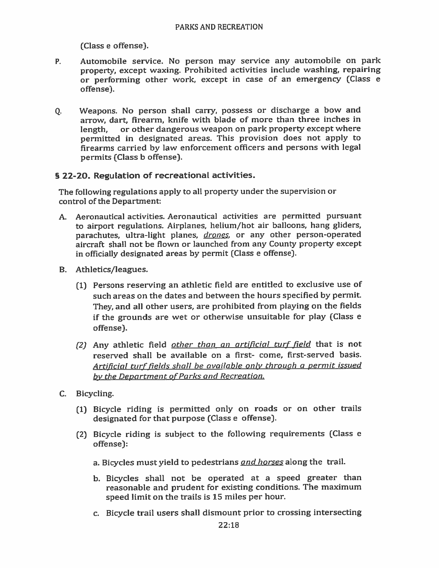(Class e offense).

- Automobile service. No person may service any automobile on park  $P_{\perp}$ property, except waxing. Prohibited activities include washing, repairing or performing other work, except in case of an emergency (Class e offense).
- 0. Weapons. No person shall carry, possess or discharge a bow and arrow, dart, firearm, knife with blade of more than three inches in or other dangerous weapon on park property except where length. permitted in designated areas. This provision does not apply to firearms carried by law enforcement officers and persons with legal permits (Class b offense).

# § 22-20. Regulation of recreational activities.

The following regulations apply to all property under the supervision or control of the Department:

- A. Aeronautical activities. Aeronautical activities are permitted pursuant to airport regulations. Airplanes, helium/hot air balloons, hang gliders, parachutes. ultra-light planes, *drones*, or any other person-operated aircraft shall not be flown or launched from any County property except in officially designated areas by permit (Class e offense).
- B. Athletics/leagues.
	- (1) Persons reserving an athletic field are entitled to exclusive use of such areas on the dates and between the hours specified by permit. They, and all other users, are prohibited from playing on the fields if the grounds are wet or otherwise unsuitable for play (Class e offense).
	- (2) Any athletic field other than an artificial turf field that is not reserved shall be available on a first- come, first-served basis. Artificial turf fields shall be available only through a permit issued by the Department of Parks and Recreation.
- C. Bicycling.
	- (1) Bicycle riding is permitted only on roads or on other trails designated for that purpose (Class e offense).
	- (2) Bicycle riding is subject to the following requirements (Class e offense):
		- a. Bicycles must yield to pedestrians and horses along the trail.
		- b. Bicycles shall not be operated at a speed greater than reasonable and prudent for existing conditions. The maximum speed limit on the trails is 15 miles per hour.
		- c. Bicycle trail users shall dismount prior to crossing intersecting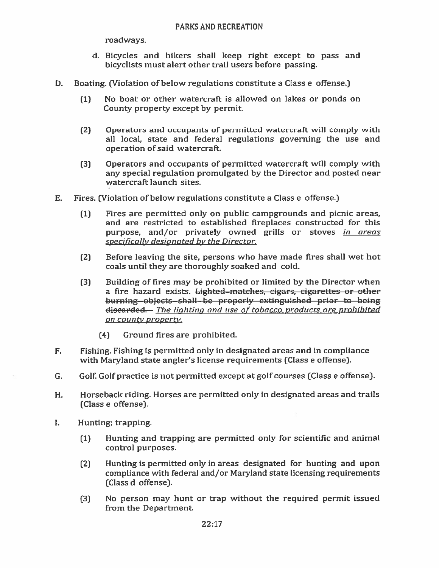roadways.

- d. Bicycles and hikers shall keep right except to pass and bicyclists must alert other trail users before passing.
- D. Boating. (Violation of below regulations constitute a Class e offense.)
	- No boat or other watercraft is allowed on lakes or ponds on  $(1)$ County property except by permit.
	- $(2)$ Operators and occupants of permitted watercraft will comply with all local, state and federal regulations governing the use and operation of said watercraft.
	- $(3)$ Operators and occupants of permitted watercraft will comply with any special regulation promulgated by the Director and posted near watercraft launch sites.
- E. Fires. (Violation of below regulations constitute a Class e offense.)
	- Fires are permitted only on public campgrounds and picnic areas,  $(1)$ and are restricted to established fireplaces constructed for this purpose, and/or privately owned grills or stoves in areas specifically designated by the Director.
	- $(2)$ Before leaving the site, persons who have made fires shall wet hot coals until they are thoroughly soaked and cold.
	- $(3)$ Building of fires may be prohibited or limited by the Director when a fire hazard exists. Lighted-matches, cigars, cigarettes or other burning objects shall be properly extinguished prior to being discarded. The lighting and use of tobacco products are prohibited on county property.
		- Ground fires are prohibited.  $(4)$
- Fishing. Fishing is permitted only in designated areas and in compliance F. with Maryland state angler's license requirements (Class e offense).
- G. Golf. Golf practice is not permitted except at golf courses (Class e offense).
- H. Horseback riding. Horses are permitted only in designated areas and trails (Class e offense).
- $\mathbf{I}$ . Hunting; trapping.
	- Hunting and trapping are permitted only for scientific and animal  $(1)$ control purposes.
	- Hunting is permitted only in areas designated for hunting and upon  $(2)$ compliance with federal and/or Maryland state licensing requirements (Class d offense).
	- No person may hunt or trap without the required permit issued  $(3)$ from the Department.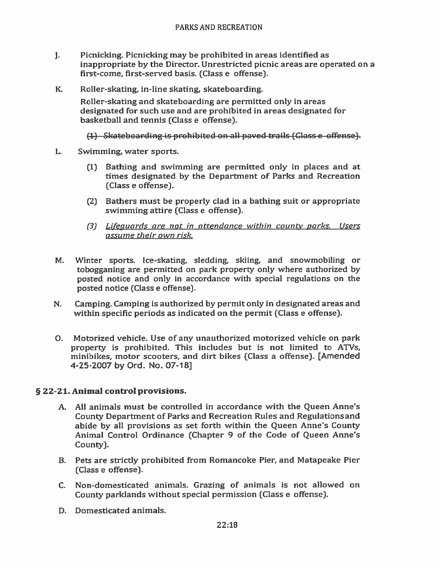- J. Picnicking. Picnicking may be prohibited in areas identified as inappropriate by the Director. Unrestricted picnic areas are operated on a first-come, first-served basis. (Class e offense).
- К. Roller-skating, in-line skating, skateboarding.

Roller-skating and skateboarding are permitted only in areas designated for such use and are prohibited in areas designated for basketball and tennis (Class e offense).

(1) Skateboarding is prohibited on all paved trails (Glass e offense).

- L. Swimming, water sports.
	- (1) Bathing and swimming are permitted only in places and at times designated by the Department of Parks and Recreation (Class e offense).
	- (2) Bathers must be properly clad in a bathing suit or appropriate swimming attire (Class e offense).
	- (3) Lifequards are not in attendance within county parks. Users assume their own risk.
- Winter sports. Ice-skating, sledding, skiing, and snowmobiling or M. tobogganing are permitted on park property only where authorized by posted notice and only in accordance with special regulations on the posted notice (Class e offense).
- N. Camping. Camping is authorized by permit only in designated areas and within specific periods as indicated on the permit (Class e offense).
- O. Motorized vehicle. Use of any unauthorized motorized vehicle on park property is prohibited. This includes but is not limited to ATVs, minibikes, motor scooters, and dirt bikes (Class a offense). [Amended 4-25-2007 by Ord. No. 07-18]

# § 22-21. Animal control provisions.

- A. All animals must be controlled in accordance with the Queen Anne's County Department of Parks and Recreation Rules and Regulations and abide by all provisions as set forth within the Queen Anne's County Animal Control Ordinance (Chapter 9 of the Code of Queen Anne's County).
- B. Pets are strictly prohibited from Romancoke Pier, and Matapeake Pier (Class e offense).
- C. Non-domesticated animals. Grazing of animals is not allowed on County parklands without special permission (Class e offense).
- D. Domesticated animals.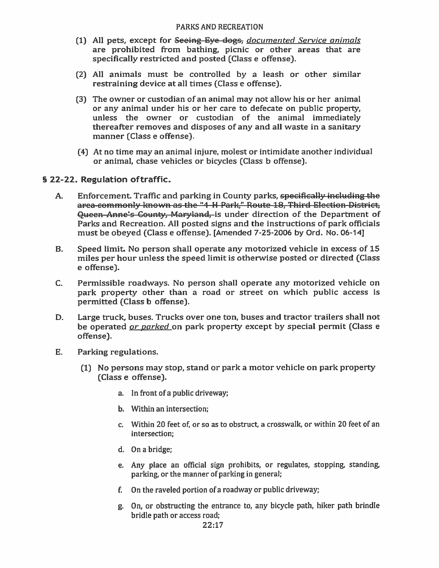- (1) All pets, except for Seeing Eye dogs, documented Service animals are prohibited from bathing, picnic or other areas that are specifically restricted and posted (Class e offense).
- (2) All animals must be controlled by a leash or other similar restraining device at all times (Class e offense).
- (3) The owner or custodian of an animal may not allow his or her animal or any animal under his or her care to defecate on public property. unless the owner or custodian of the animal immediately thereafter removes and disposes of any and all waste in a sanitary manner (Class e offense).
- (4) At no time may an animal injure, molest or intimidate another individual or animal, chase vehicles or bicycles (Class b offense).

# § 22-22. Regulation of traffic.

- Enforcement. Traffic and parking in County parks, specifically including the A. area-commonly known as the "4-H Park," Route 18, Third Election-District, Queen-Anne's County, Maryland, is under direction of the Department of Parks and Recreation. All posted signs and the instructions of park officials must be obeyed (Class e offense). [Amended 7-25-2006 by Ord. No. 06-14]
- Speed limit. No person shall operate any motorized vehicle in excess of 15 **B.** miles per hour unless the speed limit is otherwise posted or directed (Class e offense).
- $C_{\cdot}$ Permissible roadways. No person shall operate any motorized vehicle on park property other than a road or street on which public access is permitted (Class b offense).
- D. Large truck, buses. Trucks over one ton, buses and tractor trailers shall not be operated *or parked* on park property except by special permit (Class e offense).
- E. Parking regulations.
	- (1) No persons may stop, stand or park a motor vehicle on park property (Class e offense).
		- a. In front of a public driveway;
		- b. Within an intersection:
		- c. Within 20 feet of, or so as to obstruct, a crosswalk, or within 20 feet of an intersection;
		- d. On a bridge;
		- e. Any place an official sign prohibits, or regulates, stopping, standing, parking, or the manner of parking in general;
		- f. On the raveled portion of a roadway or public driveway;
		- g. On, or obstructing the entrance to, any bicycle path, hiker path brindle bridle path or access road;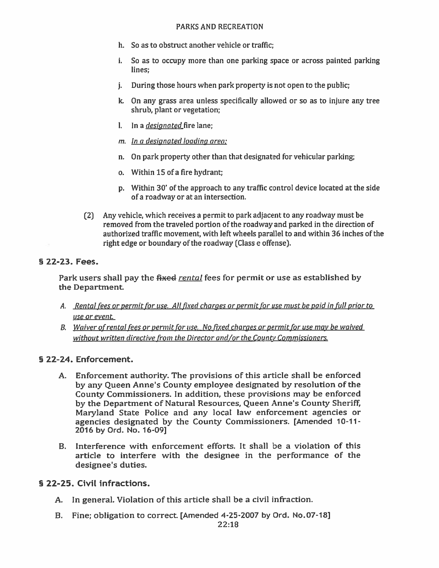- h. So as to obstruct another vehicle or traffic:
- i. So as to occupy more than one parking space or across painted parking lines:
- During those hours when park property is not open to the public; i.
- k. On any grass area unless specifically allowed or so as to injure any tree shrub, plant or vegetation;
- l. In a *designated* fire lane:
- m. In a designated loading area;
- n. On park property other than that designated for vehicular parking;
- o. Within 15 of a fire hydrant:
- p. Within 30' of the approach to any traffic control device located at the side of a roadway or at an intersection.
- (2) Any vehicle, which receives a permit to park adjacent to any roadway must be removed from the traveled portion of the roadway and parked in the direction of authorized traffic movement, with left wheels parallel to and within 36 inches of the right edge or boundary of the roadway (Class e offense).

# § 22-23. Fees.

Park users shall pay the fixed rental fees for permit or use as established by the Department.

- A. Rental fees or permit for use. All fixed charges or permit for use must be paid in full prior to use or event.
- B. Waiver of rental fees or permit for use. No fixed charges or permit for use may be waived without written directive from the Director and/or the County Commissioners.

# § 22-24. Enforcement.

- A. Enforcement authority. The provisions of this article shall be enforced by any Queen Anne's County employee designated by resolution of the County Commissioners. In addition, these provisions may be enforced by the Department of Natural Resources, Queen Anne's County Sheriff, Maryland State Police and any local law enforcement agencies or agencies designated by the County Commissioners. [Amended 10-11-2016 by Ord. No. 16-09]
- B. Interference with enforcement efforts. It shall be a violation of this article to interfere with the designee in the performance of the designee's duties.

# § 22-25. Civil infractions.

- A. In general. Violation of this article shall be a civil infraction.
- B. Fine; obligation to correct. [Amended 4-25-2007 by Ord. No.07-18]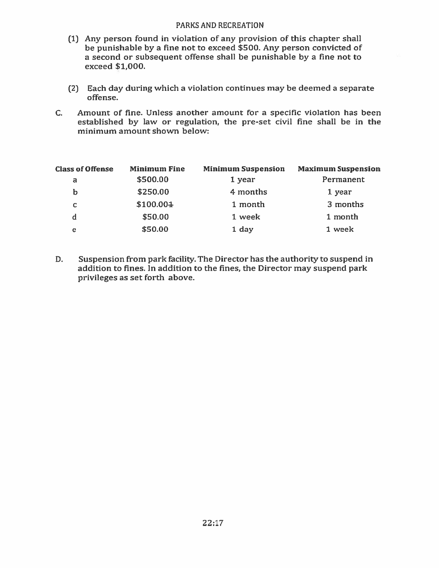- (1) Any person found in violation of any provision of this chapter shall be punishable by a fine not to exceed \$500. Any person convicted of a second or subsequent offense shall be punishable by a fine not to exceed \$1,000.
- (2) Each day during which a violation continues may be deemed a separate offense.
- Amount of fine. Unless another amount for a specific violation has been  $C_{\star}$ established by law or regulation, the pre-set civil fine shall be in the minimum amount shown below:

| <b>Class of Offense</b> | <b>Minimum Fine</b> | <b>Minimum Suspension</b> | <b>Maximum Suspension</b> |
|-------------------------|---------------------|---------------------------|---------------------------|
| a                       | \$500.00            | 1 year                    | Permanent                 |
| b                       | \$250.00            | 4 months                  | 1 year                    |
| c                       | \$100.004           | 1 month                   | 3 months                  |
| d                       | \$50.00             | 1 week                    | 1 month                   |
| е                       | \$50.00             | 1 day                     | 1 week                    |

Suspension from park facility. The Director has the authority to suspend in D. addition to fines. In addition to the fines, the Director may suspend park privileges as set forth above.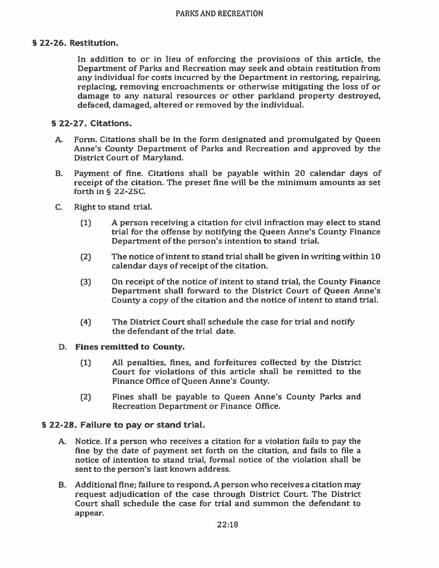# § 22-26. Restitution.

In addition to or in lieu of enforcing the provisions of this article, the Department of Parks and Recreation may seek and obtain restitution from any individual for costs incurred by the Department in restoring, repairing, replacing, removing encroachments or otherwise mitigating the loss of or damage to any natural resources or other parkland property destroved. defaced, damaged, altered or removed by the individual.

## § 22-27. Citations.

- Form. Citations shall be in the form designated and promulgated by Oueen  $A.$ Anne's County Department of Parks and Recreation and approved by the District Court of Maryland.
- $B<sub>r</sub>$ Payment of fine. Citations shall be payable within 20 calendar days of receipt of the citation. The preset fine will be the minimum amounts as set forth in § 22-25C.
- $C_{\cdot}$ Right to stand trial.
	- $(1)$ A person receiving a citation for civil infraction may elect to stand trial for the offense by notifying the Queen Anne's County Finance Department of the person's intention to stand trial.
	- The notice of intent to stand trial shall be given in writing within 10  $(2)$ calendar days of receipt of the citation.
	- On receipt of the notice of intent to stand trial, the County Finance  $(3)$ Department shall forward to the District Court of Queen Anne's County a copy of the citation and the notice of intent to stand trial.
	- The District Court shall schedule the case for trial and notify  $(4)$ the defendant of the trial date.

#### D. Fines remitted to County.

- All penalties, fines, and forfeitures collected by the District  $(1)$ Court for violations of this article shall be remitted to the Finance Office of Queen Anne's County.
- $(2)$ Fines shall be payable to Queen Anne's County Parks and Recreation Department or Finance Office.

# § 22-28. Failure to pay or stand trial.

- A. Notice. If a person who receives a citation for a violation fails to pay the fine by the date of payment set forth on the citation, and fails to file a notice of intention to stand trial, formal notice of the violation shall be sent to the person's last known address.
- B. Additional fine; failure to respond. A person who receives a citation may request adjudication of the case through District Court. The District Court shall schedule the case for trial and summon the defendant to appear.